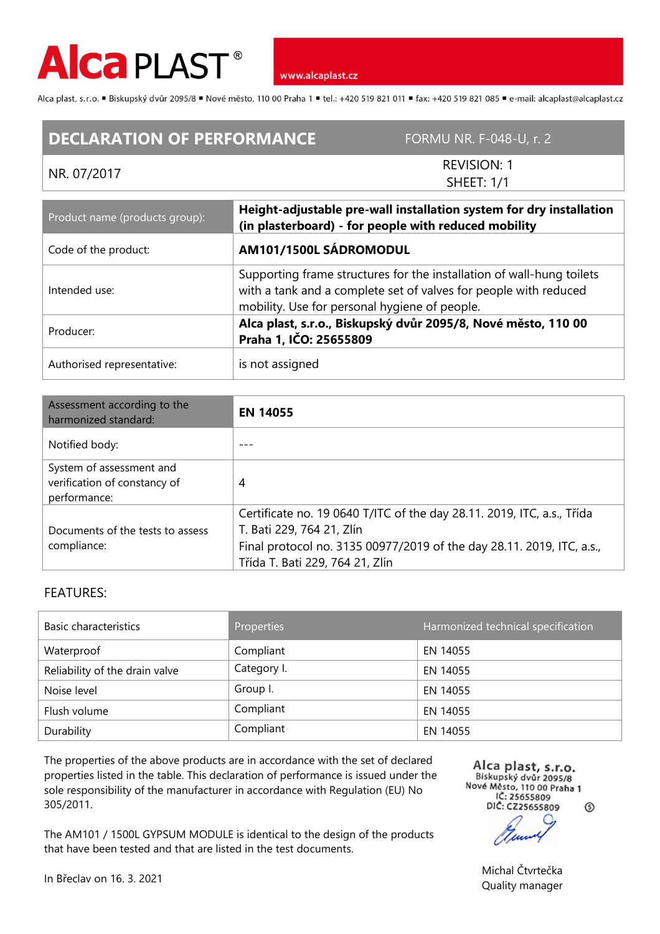

Alca plast, s.r.o. "Biskupský dvůr 2095/8 "Nové město, 110 00 Praha 1 "tel.: +420 519 821 011 "fax: +420 519 821 085 " e-mail: alcaplast@alcaplast.cz

## **DECLARATION OF PERFORMANCE** FORMU NR. F-048-U, r. 2

## NR. 07/2017

REVISION: 1 SHEET: 1/1

| Product name (products group): | Height-adjustable pre-wall installation system for dry installation<br>(in plasterboard) - for people with reduced mobility                                                                |  |
|--------------------------------|--------------------------------------------------------------------------------------------------------------------------------------------------------------------------------------------|--|
| Code of the product:           | AM101/1500L SÁDROMODUL                                                                                                                                                                     |  |
| Intended use:                  | Supporting frame structures for the installation of wall-hung toilets<br>with a tank and a complete set of valves for people with reduced<br>mobility. Use for personal hygiene of people. |  |
| Producer:                      | Alca plast, s.r.o., Biskupský dvůr 2095/8, Nové město, 110 00<br>Praha 1, IČO: 25655809                                                                                                    |  |
| Authorised representative:     | is not assigned                                                                                                                                                                            |  |

| Assessment according to the<br>harmonized standard:                      | <b>EN 14055</b>                                                                                                                                                                                                 |
|--------------------------------------------------------------------------|-----------------------------------------------------------------------------------------------------------------------------------------------------------------------------------------------------------------|
| Notified body:                                                           |                                                                                                                                                                                                                 |
| System of assessment and<br>verification of constancy of<br>performance: | 4                                                                                                                                                                                                               |
| Documents of the tests to assess<br>compliance:                          | Certificate no. 19 0640 T/ITC of the day 28.11. 2019, ITC, a.s., Třída<br>T. Bati 229, 764 21, Zlín<br>Final protocol no. 3135 00977/2019 of the day 28.11. 2019, ITC, a.s.,<br>Třída T. Bati 229, 764 21, Zlín |

## FEATURES:

| <b>Basic characteristics</b>   | Properties  | Harmonized technical specification |
|--------------------------------|-------------|------------------------------------|
| Waterproof                     | Compliant   | EN 14055                           |
| Reliability of the drain valve | Category I. | EN 14055                           |
| Noise level                    | Group I.    | EN 14055                           |
| Flush volume                   | Compliant   | EN 14055                           |
| Durability                     | Compliant   | EN 14055                           |

The properties of the above products are in accordance with the set of declared properties listed in the table. This declaration of performance is issued under the sole responsibility of the manufacturer in accordance with Regulation (EU) No 305/2011.

The AM101 / 1500L GYPSUM MODULE is identical to the design of the products that have been tested and that are listed in the test documents.

Alca plast, s.r.o. Biskupský dvůr 2095/8 Nové Město, 110 00 Praha 1 IČ: 25655809 DIČ: CZ25655809  $^{\circ}$ 

In Břeclav on 16. 3. 2021 Michal Čtvrtečka Quality manager